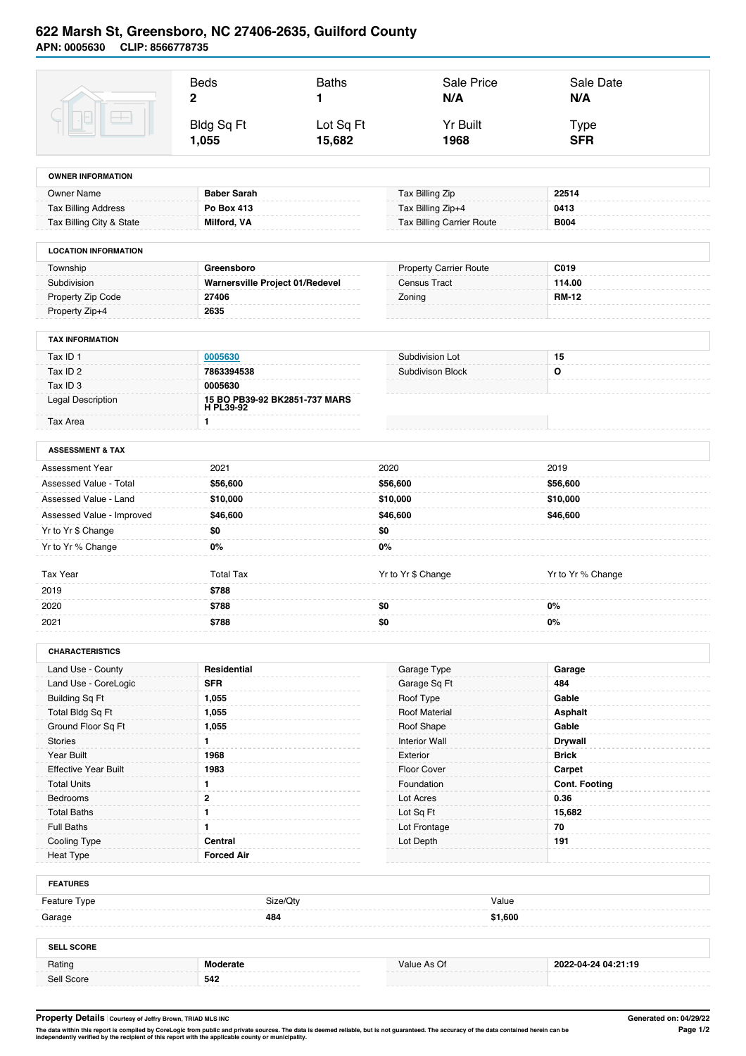## **622 Marsh St, Greensboro, NC 27406-2635, Guilford County APN: 0005630 CLIP: 8566778735**

|                                         | <b>Beds</b><br>$\mathbf{2}$                | <b>Baths</b><br>1 | Sale Price<br>N/A                | Sale Date<br>N/A     |
|-----------------------------------------|--------------------------------------------|-------------------|----------------------------------|----------------------|
|                                         | <b>Bldg Sq Ft</b>                          | Lot Sq Ft         | <b>Yr Built</b>                  | <b>Type</b>          |
|                                         | 1,055                                      | 15,682            | 1968                             | <b>SFR</b>           |
| <b>OWNER INFORMATION</b>                |                                            |                   |                                  |                      |
| <b>Owner Name</b>                       | <b>Baber Sarah</b>                         |                   | Tax Billing Zip                  | 22514                |
| <b>Tax Billing Address</b>              | Po Box 413                                 |                   | Tax Billing Zip+4                | 0413                 |
| Tax Billing City & State                | <b>Milford, VA</b>                         |                   | <b>Tax Billing Carrier Route</b> | <b>B004</b>          |
| <b>LOCATION INFORMATION</b>             |                                            |                   |                                  |                      |
| Township                                | Greensboro                                 |                   | <b>Property Carrier Route</b>    | C019                 |
| Subdivision                             | Warnersville Project 01/Redevel            |                   | <b>Census Tract</b>              | 114.00               |
| Property Zip Code                       | 27406                                      |                   | Zoning                           | <b>RM-12</b>         |
| Property Zip+4                          | 2635                                       |                   |                                  |                      |
| <b>TAX INFORMATION</b>                  |                                            |                   |                                  |                      |
| Tax ID 1                                | 0005630                                    |                   | Subdivision Lot                  | 15                   |
| Tax ID 2                                | 7863394538                                 |                   | <b>Subdivison Block</b>          | $\mathbf{o}$         |
| Tax ID <sub>3</sub>                     | 0005630                                    |                   |                                  |                      |
| <b>Legal Description</b>                | 15 BO PB39-92 BK2851-737 MARS<br>H PL39-92 |                   |                                  |                      |
| Tax Area                                | 1                                          |                   |                                  |                      |
| <b>ASSESSMENT &amp; TAX</b>             |                                            |                   |                                  |                      |
| <b>Assessment Year</b>                  | 2021                                       | 2020              |                                  | 2019                 |
| Assessed Value - Total                  | \$56,600                                   |                   | \$56,600                         | \$56,600             |
| Assessed Value - Land                   | \$10,000                                   |                   | \$10,000                         | \$10,000             |
| Assessed Value - Improved               | \$46,600                                   |                   | \$46,600                         | \$46,600             |
| Yr to Yr \$ Change                      | \$0                                        | \$0               |                                  |                      |
| Yr to Yr % Change                       | $0\%$                                      | 0%                |                                  |                      |
|                                         |                                            |                   |                                  |                      |
| Tax Year                                | <b>Total Tax</b>                           |                   | Yr to Yr \$ Change               | Yr to Yr % Change    |
| 2019                                    | \$788                                      |                   |                                  |                      |
| 2020                                    | \$788                                      | \$0               |                                  | 0%                   |
| 2021                                    | \$788                                      | \$0               |                                  | $0\%$                |
| <b>CHARACTERISTICS</b>                  |                                            |                   |                                  |                      |
| Land Use - County                       | Residential                                |                   | Garage Type                      | Garage               |
| Land Use - CoreLogic                    | <b>SFR</b>                                 |                   | Garage Sq Ft                     | 484                  |
| <b>Building Sq Ft</b>                   | 1,055                                      |                   | Roof Type                        | Gable                |
| Total Bldg Sq Ft                        | 1,055                                      |                   | <b>Roof Material</b>             | <b>Asphalt</b>       |
| Ground Floor Sq Ft                      | 1,055                                      |                   | Roof Shape                       | Gable                |
| <b>Stories</b>                          | 1                                          |                   | <b>Interior Wall</b>             | <b>Drywall</b>       |
| Year Built                              | 1968                                       |                   | Exterior                         | <b>Brick</b>         |
| <b>Effective Year Built</b>             | 1983                                       |                   | Floor Cover                      | Carpet               |
| <b>Total Units</b>                      | 1                                          |                   | Foundation                       | <b>Cont. Footing</b> |
| Bedrooms                                | 2                                          |                   | Lot Acres                        | 0.36                 |
| <b>Total Baths</b><br><b>Full Baths</b> | 1<br>1                                     |                   | Lot Sq Ft<br>Lot Frontage        | 15,682<br>70         |
| Cooling Type                            | Central                                    |                   | Lot Depth                        | 191                  |
| <b>Heat Type</b>                        | <b>Forced Air</b>                          |                   |                                  |                      |
| <b>FEATURES</b>                         |                                            |                   |                                  |                      |
|                                         |                                            |                   | Value                            |                      |
| Feature Type<br>Garage                  | Size/Qty<br>484                            |                   | \$1,600                          |                      |
| <b>SELL SCORE</b>                       |                                            |                   |                                  |                      |
| Rating                                  | <b>Moderate</b>                            |                   | Value As Of                      | 2022-04-24 04:21:19  |
|                                         |                                            |                   |                                  |                      |

**Property Details Courtesy of Jeffry Brown, TRIAD MLS INC Generated on: 04/29/22**

The data within this report is compiled by CoreLogic from public and private sources. The data is deemed reliable, but is not guaranteed. The accuracy of the data contained herein can be<br>independently verified by the recip